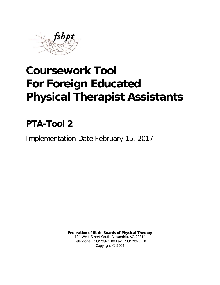

# **Coursework Tool For Foreign Educated Physical Therapist Assistants**

## **PTA-Tool 2**

Implementation Date February 15, 2017

**Federation of State Boards of Physical Therapy** 124 West Street South Alexandria, VA 22314 Telephone: 703/299-3100 Fax: 703/299-3110 Copyright © 2004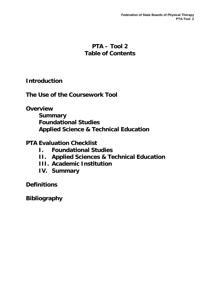## **PTA – Tool 2 Table of Contents**

**Introduction**

**The Use of the Coursework Tool**

**Overview**

**Summary Foundational Studies Applied Science & Technical Education**

**PTA Evaluation Checklist**

- **I. Foundational Studies**
- **II. Applied Sciences & Technical Education**
- **III. Academic Institution**
- **IV. Summary**

**Definitions**

**Bibliography**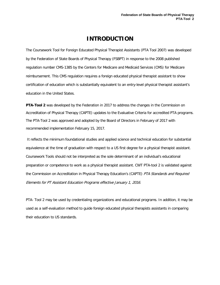## **INTRODUCTION**

The Coursework Tool for Foreign Educated Physical Therapist Assistants (PTA Tool 2007) was developed by the Federation of State Boards of Physical Therapy (FSBPT) in response to the 2008 published regulation number CMS-1385 by the Centers for Medicare and Medicaid Services (CMS) for Medicare reimbursement. This CMS regulation requires a foreign educated physical therapist assistant to show certification of education which is substantially equivalent to an entry-level physical therapist assistant's education in the United States.

**PTA-Tool 2** was developed by the Federation in 2017 to address the changes in the Commission on Accreditation of Physical Therapy (CAPTE) updates to the Evaluative Criteria for accredited PTA programs. The PTA-Tool 2 was approved and adopted by the Board of Directors in February of 2017 with recommended implementation February 15, 2017.

It reflects the minimum foundational studies and applied science and technical education for substantial equivalence at the time of graduation with respect to a US first degree for a physical therapist assistant. Coursework Tools should not be interpreted as the sole determinant of an individual's educational preparation or competence to work as a physical therapist assistant. CWT PTA-tool 2 is validated against the Commission on Accreditation in Physical Therapy Education's (CAPTE) PTA Standards and Required Elements for PT Assistant Education Programs effective January 1, 2016.

PTA- Tool 2 may be used by credentialing organizations and educational programs. In addition, it may be used as a self-evaluation method to guide foreign educated physical therapists assistants in comparing their education to US standards.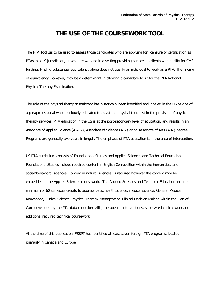## **THE USE OF THE COURSEWORK TOOL**

The PTA Tool 2is to be used to assess those candidates who are applying for licensure or certification as PTAs in a US jurisdiction, or who are working in a setting providing services to clients who qualify for CMS funding. Finding substantial equivalency alone does not qualify an individual to work as a PTA. The finding of equivalency, however, may be a determinant in allowing a candidate to sit for the PTA National Physical Therapy Examination.

The role of the physical therapist assistant has historically been identified and labeled in the US as one of a paraprofessional who is uniquely educated to assist the physical therapist in the provision of physical therapy services. PTA education in the US is at the post-secondary level of education, and results in an Associate of Applied Science (A.A.S.), Associate of Science (A.S.) or an Associate of Arts (A.A.) degree. Programs are generally two years in length. The emphasis of PTA education is in the area of intervention.

US PTA curriculum consists of Foundational Studies and Applied Sciences and Technical Education. Foundational Studies include required content in English Composition within the humanities, and social/behavioral sciences. Content in natural sciences, is required however the content may be embedded in the Applied Sciences coursework. The Applied Sciences and Technical Education include a minimum of 60 semester credits to address basic health science, medical science: General Medical Knowledge, Clinical Science: Physical Therapy Management, Clinical Decision Making within the Plan of Care developed by the PT, data collection skills, therapeutic interventions, supervised clinical work and additional required technical coursework.

At the time of this publication, FSBPT has identified at least seven foreign PTA programs, located primarily in Canada and Europe.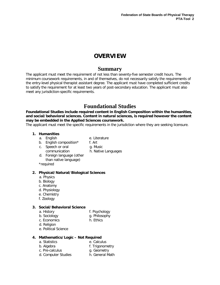## **OVERVIEW**

### **Summary**

The applicant must meet the requirement of not less than seventy-five semester credit hours. The minimum coursework requirements, in and of themselves, do not necessarily satisfy the requirements of the entry-level physical therapist assistant degree. The applicant must have completed sufficient credits to satisfy the requirement for at least two years of post-secondary education. The applicant must also meet any jurisdiction-specific requirements.

## **Foundational Studies**

**Foundational Studies include required content in English Composition within the humanities, and social/behavioral sciences. Content in natural sciences, is required however the content may be embedded in the Applied Sciences coursework.** 

The applicant must meet the specific requirements in the jurisdiction where they are seeking licensure.

h. Native Languages

#### **1. Humanities**

- a. English e. Literature
- 
- b. English composition\* f. Art
	- g. Music
- c. Speech or oral communication
- d. Foreign language (other than native language)

\*required

#### **2. Physical/Natural/Biological Sciences**

- a. Physics
- b. Biology
- c. Anatomy
- d. Physiology
- e. Chemistry
- f. Zoology

#### **3. Social/Behavioral Science**

- 
- b. Sociology g. Philosophy
- a. History **a.** History **f. Psychology** 
	-
- 
- c. Economics h. Ethics
- d. Religion
- e. Political Science

#### **4. Mathematics/Logic – Not Required**

- a. Statistics e. Calculus
	-
- b. Algebra f. Trigonometry c. Pre-calculus
	- g. Geometry
- d. Computer Studies h. General Math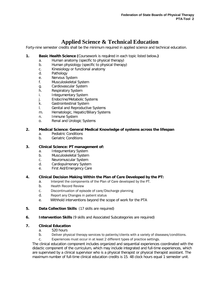## **Applied Science & Technical Education**

Forty-nine semester credits shall be the minimum required in applied science and technical education.

- **1. Basic Health Science (**Coursework is requ**i**red in each topic listed below**.)**
	- a. Human anatomy (specific to physical therapy)
	- b. Human physiology (specific to physical therapy)
	- c. Kinesiology or functional anatomy
	- d. Pathology
	- e. Nervous System
	- f. Musculoskeletal System
	- g. Cardiovascular System
	- h. Respiratory System
	- i. Integumentary System
	- j. Endocrine/Metabolic Systems
	- k. Gastrointestinal System
	- l. Genital and Reproductive Systems
	- m. Hematologic, Hepatic/Biliary Systems
	- n. Immune System
	- o. Renal and Urologic Systems

#### **2. Medical Science: General Medical Knowledge of systems across the lifespan**

- a. Pediatric Conditions
- b. Geriatric Conditions

#### **3. Clinical Science: PT management of:**

- a. Integumentary System
- b. Musculoskeletal System
- c. Neuromuscular System
- d. Cardiopulmonary System
- e. First Aid/Emergency Care

#### **4. Clinical Decision Making Within the Plan of Care Developed by the PT:**

- a. Interpret the components of the Plan of Care developed by the PT.
- b. Health Record Review
- c. Discontinuation of episode of care/Discharge planning
- d. Report any Changes in patient status
- e. Withhold interventions beyond the scope of work for the PTA
- **5. Data Collection Skills** (17 skills are required)
- **6. Intervention Skills** (9 skills and Associated Subcategories are required)

#### **7. Clinical Education**

- a. 520 hours
- b. Deliver physical therapy services to patients/clients with a variety of diseases/conditions.
- c. Experiences must occur in at least 2 different types of practice settings.

The clinical education component includes organized and sequential experiences coordinated with the didactic component of the curriculum, which may include integrated and full-time experiences, which are supervised by a clinical supervisor who is a physical therapist or physical therapist assistant. The maximum number of full-time clinical education credits is 15. 48 clock hours equal 1 semester unit.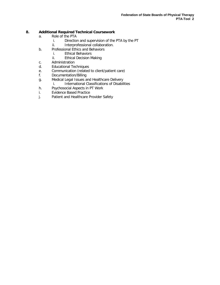#### **8. Additional Required Technical Coursework**

- a. Role of the PTA
	- i. Direction and supervision of the PTA by the PT
	- ii. Interprofessional collaboration.
- b. Professional Ethics and Behaviors
	- i. Ethical Behaviors
	- ii. Ethical Decision Making
- c. Administration
- d. Educational Techniques
- e. Communication (related to client/patient care)
- f. Documentation/Billing
- g. Medical Legal Issues and Healthcare Delivery
	- i. International Classifications of Disabilities
- h. Psychosocial Aspects in PT Work
- i. Evidence Based Practice
- j. Patient and Healthcare Provider Safety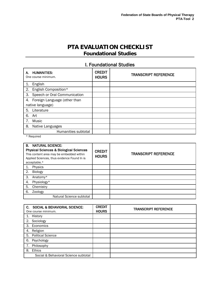## **PTA EVALUATION CHECKLIST Foundational Studies**

## I. Foundational Studies

| <b>HUMANITIES:</b><br>А.<br>One course minimum. | <b>CREDIT</b><br><b>HOURS</b> | <b>TRANSCRIPT REFERENCE</b> |
|-------------------------------------------------|-------------------------------|-----------------------------|
| English                                         |                               |                             |
| English Composition*<br>2.                      |                               |                             |
| Speech or Oral Communication<br>3.              |                               |                             |
| 4. Foreign Language (other than                 |                               |                             |
| native language)                                |                               |                             |
| 5.<br>Literature                                |                               |                             |
| 6.<br>Art                                       |                               |                             |
| Music                                           |                               |                             |
| 8.<br>Native Languages                          |                               |                             |
| Humanities subtotal                             |                               |                             |

\* Required

| <b>B. NATURAL SCIENCE:</b><br><b>Physical Sciences &amp; Biological Sciences</b><br>This content area may be embedded within<br>Applied Sciences, thus evidence Found In is<br>acceptable.* | <b>CREDIT</b><br><b>HOURS</b> | <b>TRANSCRIPT REFERENCE</b> |
|---------------------------------------------------------------------------------------------------------------------------------------------------------------------------------------------|-------------------------------|-----------------------------|
| Physics                                                                                                                                                                                     |                               |                             |
| Biology<br>2.                                                                                                                                                                               |                               |                             |
| 3.<br>Anatomy*                                                                                                                                                                              |                               |                             |
| Physiology*<br>4.                                                                                                                                                                           |                               |                             |
| 5.<br>Chemistry                                                                                                                                                                             |                               |                             |
| 6.<br>Zoology                                                                                                                                                                               |                               |                             |
| Natural Science subtotal                                                                                                                                                                    |                               |                             |

| C. | <b>SOCIAL &amp; BEHAVIORAL SCIENCE:</b><br>One course minimum. | <b>CREDIT</b><br><b>HOURS</b> | <b>TRANSCRIPT REFERENCE</b> |
|----|----------------------------------------------------------------|-------------------------------|-----------------------------|
|    | History                                                        |                               |                             |
| 2. | Sociology                                                      |                               |                             |
| 3. | Economics                                                      |                               |                             |
| 4. | Religion                                                       |                               |                             |
| 5. | <b>Political Science</b>                                       |                               |                             |
| 6. | Psychology                                                     |                               |                             |
|    | Philosophy                                                     |                               |                             |
| 8. | Ethics                                                         |                               |                             |
|    | Social & Behavioral Science subtotal                           |                               |                             |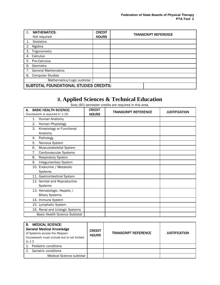| D. | <b>MATHEMATICS:</b>                    | <b>CREDIT</b> | <b>TRANSCRIPT REFERENCE</b> |  |  |
|----|----------------------------------------|---------------|-----------------------------|--|--|
|    | Not required                           | <b>HOURS</b>  |                             |  |  |
|    | <b>Statistics</b>                      |               |                             |  |  |
| 2. | Algebra                                |               |                             |  |  |
| 3. | Trigonometry                           |               |                             |  |  |
| 4. | Calculus                               |               |                             |  |  |
| 5. | <b>Pre-Calculus</b>                    |               |                             |  |  |
| 6. | Geometry                               |               |                             |  |  |
|    | 7. General Mathematics                 |               |                             |  |  |
|    | 8. Computer Studies                    |               |                             |  |  |
|    | Mathematics/Logic subtotal             |               |                             |  |  |
|    | SUBTOTAL FOUNDATIONAL STUDIES CREDITS: |               |                             |  |  |

## II. **Applied Sciences & Technical Education**

Sixty (60) semester credits are required in this area.

| <b>BASIC HEALTH SCIENCE:</b><br>А.<br>Coursework is required in 1-16. | <b>CREDIT</b><br><b>HOURS</b> | <b>TRANSCRIPT REFERENCE</b> | <b>JUSTIFICATION</b> |
|-----------------------------------------------------------------------|-------------------------------|-----------------------------|----------------------|
| Human Anatomy<br>1.                                                   |                               |                             |                      |
| Human Physiology<br>2.                                                |                               |                             |                      |
| Kinesiology or Functional<br>3.                                       |                               |                             |                      |
| Anatomy                                                               |                               |                             |                      |
| Pathology<br>4.                                                       |                               |                             |                      |
| Nervous System<br>5.                                                  |                               |                             |                      |
| 6.<br>Musculoskeletal System                                          |                               |                             |                      |
| Cardiovascular Systems<br>7.                                          |                               |                             |                      |
| 8.<br><b>Respiratory System</b>                                       |                               |                             |                      |
| Integumentary System<br>9.                                            |                               |                             |                      |
| 10. Endocrine / Metabolic                                             |                               |                             |                      |
| Systems                                                               |                               |                             |                      |
| 11. Gastrointestinal System                                           |                               |                             |                      |
| 12. Genital and Reproductive                                          |                               |                             |                      |
| Systems                                                               |                               |                             |                      |
| 13. Hematologic, Hepatic /                                            |                               |                             |                      |
| <b>Biliary Systems</b>                                                |                               |                             |                      |
| 14. Immune System                                                     |                               |                             |                      |
| 15. Lymphatic System                                                  |                               |                             |                      |
| 16. Renal and Urologic Systems                                        |                               |                             |                      |
| <b>Basic Health Science Subtotal</b>                                  |                               |                             |                      |

| <b>MEDICAL SCIENCE:</b><br>В.<br><b>General Medical Knowledge</b><br>of Systems across the lifespan:<br>Coursework must include but is not limited<br>to 1-2 | <b>CREDIT</b><br><b>HOURS</b> | <b>TRANSCRIPT REFERENCE</b> | <b>JUSTIFICATION</b> |
|--------------------------------------------------------------------------------------------------------------------------------------------------------------|-------------------------------|-----------------------------|----------------------|
| Pediatric conditions                                                                                                                                         |                               |                             |                      |
| Geriatric conditions                                                                                                                                         |                               |                             |                      |
| Medical Science subtotal                                                                                                                                     |                               |                             |                      |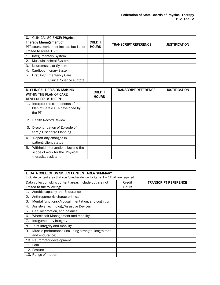| C. CLINICAL SCIENCE: Physical<br>Therapy Management of:<br>PTA coursework must include but is not<br>limited to areas $1 - 5$ . | <b>CREDIT</b><br><b>HOURS</b> | <b>TRANSCRIPT REFERENCE</b> | <b>JUSTIFICATION</b> |
|---------------------------------------------------------------------------------------------------------------------------------|-------------------------------|-----------------------------|----------------------|
| <b>Integumentary System</b>                                                                                                     |                               |                             |                      |
| Musculoskeletal System<br>2.                                                                                                    |                               |                             |                      |
| Neuromuscular System<br>З.                                                                                                      |                               |                             |                      |
| Cardiopulmonary System<br>4.                                                                                                    |                               |                             |                      |
| First Aid/ Emergency Care<br>5.                                                                                                 |                               |                             |                      |
| Clinical Science subtotal                                                                                                       |                               |                             |                      |

| <b>D. CLINICAL DECISION MAKING</b><br><b>WITHIN THE PLAN OF CARE</b><br>DEVELOPED BY THE PT:     | <b>CREDIT</b><br><b>HOURS</b> | <b>TRANSCRIPT REFERENCE</b> | <b>JUSTIFICATION</b> |
|--------------------------------------------------------------------------------------------------|-------------------------------|-----------------------------|----------------------|
| Interpret the components of the<br>1.<br>Plan of Care (POC) developed by<br>the PT.              |                               |                             |                      |
| 2. Health Record Review                                                                          |                               |                             |                      |
| Discontinuation of Episode of<br>З.<br>care./ Discharge Planning                                 |                               |                             |                      |
| Report any changes in<br>4.<br>patient/client status                                             |                               |                             |                      |
| 5.<br>Withhold interventions beyond the<br>scope of work for the Physical<br>therapist assistant |                               |                             |                      |

| E. DATA COLLECTION SKILLS CONTENT AREA SUMMARY                                       |              |                             |
|--------------------------------------------------------------------------------------|--------------|-----------------------------|
| Indicate content area that you found evidence for items $1 - 17$ . All are required. |              |                             |
| Data collection skills content areas include but are not                             | Credit       | <b>TRANSCRIPT REFERENCE</b> |
| limited to the following:                                                            | <b>Hours</b> |                             |
| Aerobic capacity and Endurance<br>1.                                                 |              |                             |
| 2.<br>Anthropometric characteristics                                                 |              |                             |
| 3.<br>Mental functions/Arousal, mentation, and cognition                             |              |                             |
| Assistive Technology/Assistive Devices<br>4.                                         |              |                             |
| 5.<br>Gait, locomotion, and balance                                                  |              |                             |
| 6.<br>Wheelchair Management and mobility                                             |              |                             |
| 7.<br>Integumentary integrity                                                        |              |                             |
| 8.<br>Joint integrity and mobility                                                   |              |                             |
| 9.<br>Muscle performance (including strength, length tone                            |              |                             |
| and endurance)                                                                       |              |                             |
| 10. Neuromotor development                                                           |              |                             |
| 11. Pain                                                                             |              |                             |
| 12. Posture                                                                          |              |                             |
| 13. Range of motion                                                                  |              |                             |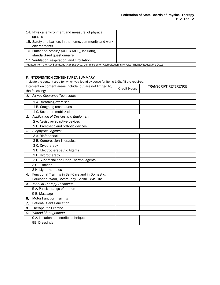| 14. Physical environment and measure of physical                                                              |  |
|---------------------------------------------------------------------------------------------------------------|--|
| spaces                                                                                                        |  |
| 15. Safety and barriers in the home, community and work                                                       |  |
| environments                                                                                                  |  |
| 16. Functional status/ (ADL & IADL), including                                                                |  |
| standardized questionnaire                                                                                    |  |
| 17. Ventilation, respiration, and circulation                                                                 |  |
| Adapted from the PTA Standards with Evidence, Commission on Accreditation in Physical Therapy Education; 2015 |  |

|    | F. INTERVENTION CONTENT AREA SUMMARY                                                     |                     |                             |  |  |
|----|------------------------------------------------------------------------------------------|---------------------|-----------------------------|--|--|
|    | Indicate the content area for which you found evidence for items 1-9b. All are required. |                     |                             |  |  |
|    | Intervention content areas include, but are not limited to,                              | <b>Credit Hours</b> | <b>TRANSCRIPT REFERENCE</b> |  |  |
|    | the following:                                                                           |                     |                             |  |  |
|    | 1. Airway Clearance Techniques                                                           |                     |                             |  |  |
|    | 1 A. Breathing exercises                                                                 |                     |                             |  |  |
|    | 1 B. Coughing techniques                                                                 |                     |                             |  |  |
|    | 1 C. Secretion mobilization                                                              |                     |                             |  |  |
| 2. | Application of Devices and Equipment                                                     |                     |                             |  |  |
|    | 2 A. Assistive/adaptive devices                                                          |                     |                             |  |  |
|    | 2 B. Prosthetic and orthotic devices                                                     |                     |                             |  |  |
| З. | <b>Biophysical Agents:</b>                                                               |                     |                             |  |  |
|    | 3 A. Biofeedback                                                                         |                     |                             |  |  |
|    | 3 B. Compression Therapies                                                               |                     |                             |  |  |
|    | 3 C. Cryotherapy                                                                         |                     |                             |  |  |
|    | 3 D. Electrotherapeutic Agents                                                           |                     |                             |  |  |
|    | 3 E. Hydrotherapy                                                                        |                     |                             |  |  |
|    | 3 F. Superficial and Deep Thermal Agents                                                 |                     |                             |  |  |
|    | 3 G. Traction                                                                            |                     |                             |  |  |
|    | 3 H. Light therapies                                                                     |                     |                             |  |  |
| 4. | Functional Training in Self-Care and in Domestic,                                        |                     |                             |  |  |
|    | Education, Work, Community, Social, Civic Life                                           |                     |                             |  |  |
| 5. | <b>Manual Therapy Technique</b>                                                          |                     |                             |  |  |
|    | 5 A. Passive range of motion                                                             |                     |                             |  |  |
|    | 5 B. Massage                                                                             |                     |                             |  |  |
| 6. | <b>Motor Function Training</b>                                                           |                     |                             |  |  |
| 7. | Patient/Client Education                                                                 |                     |                             |  |  |
| 8. | Therapeutic Exercise                                                                     |                     |                             |  |  |
| 9. | Wound Management:                                                                        |                     |                             |  |  |
|    | 9 A. Isolation and sterile techniques                                                    |                     |                             |  |  |
|    | 9B. Dressings                                                                            |                     |                             |  |  |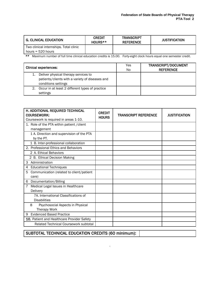| <b>G. CLINICAL EDUCATION</b>           | <b>CREDIT</b><br>HOURS** | <b>TRANSCRIPT</b><br><b>REFERENCE</b> | <b>JUSTIFICATION</b> |
|----------------------------------------|--------------------------|---------------------------------------|----------------------|
| Two clinical internships. Total clinic |                          |                                       |                      |
| hours = $520$ hours                    |                          |                                       |                      |

\*\* Maximum number of full time clinical education credits is 15.00. Forty-eight clock hours equal one semester credit.

| <b>Clinical experiences:</b> |                                                                                                                | Yes<br>No. | <b>TRANSCRIPT/DOCUMENT</b><br><b>REFERENCE</b> |
|------------------------------|----------------------------------------------------------------------------------------------------------------|------------|------------------------------------------------|
|                              | Deliver physical therapy services to<br>patients/clients with a variety of diseases and<br>conditions settings |            |                                                |
| 2.                           | Occur in at least 2 different types of practice<br>settings                                                    |            |                                                |

| H. ADDITIONAL REQUIRED TECHNICAL<br><b>COURSEWORK:</b><br>Coursework is required in areas 1-10. | <b>CREDIT</b><br><b>HOURS</b> | <b>TRANSCRIPT REFERENCE</b> | <b>JUSTIFICATION</b> |
|-------------------------------------------------------------------------------------------------|-------------------------------|-----------------------------|----------------------|
| 1. Role of the PTA within patient / client                                                      |                               |                             |                      |
| management                                                                                      |                               |                             |                      |
| 1 A. Direction and supervision of the PTA<br>by the PT.                                         |                               |                             |                      |
| 1 B. Inter-professional collaboration                                                           |                               |                             |                      |
| 2. Professional Ethics and Behaviors                                                            |                               |                             |                      |
| 2 A. Ethical Behaviors                                                                          |                               |                             |                      |
| 2 B. Ethical Decision Making                                                                    |                               |                             |                      |
| Administration<br>3                                                                             |                               |                             |                      |
| <b>Educational Techniques</b><br>4                                                              |                               |                             |                      |
| Communication (related to client/patient<br>5.                                                  |                               |                             |                      |
| care)                                                                                           |                               |                             |                      |
| Documentation/Billing<br>6                                                                      |                               |                             |                      |
| Medical Legal Issues in Healthcare                                                              |                               |                             |                      |
| Delivery                                                                                        |                               |                             |                      |
| 7A. International Classifications of                                                            |                               |                             |                      |
| <b>Disabilities</b>                                                                             |                               |                             |                      |
| 8<br>Psychosocial Aspects in Physical                                                           |                               |                             |                      |
| Therapy Work                                                                                    |                               |                             |                      |
| <b>Evidenced Based Practice</b><br>9                                                            |                               |                             |                      |
| 10. Patient and Healthcare Provider Safety                                                      |                               |                             |                      |
| Related Technical Coursework subtotal                                                           |                               |                             |                      |

.

SUBTOTAL TECHNICAL EDUCATION CREDITS (60 minimum):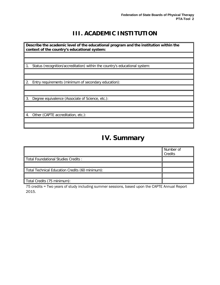## **III. ACADEMIC INSTITUTION**

**Describe the academic level of the educational program and the institution within the context of the country's educational system:**

1. Status (recognition/accreditation) within the country's educational system:

2. Entry requirements (minimum of secondary education):

3. Degree equivalence (Associate of Science, etc.):

4. Other (CAPTE accreditation, etc.):

## **IV. Summary**

|                                                 | Number of<br>Credits |
|-------------------------------------------------|----------------------|
| Total Foundational Studies Credits:             |                      |
|                                                 |                      |
| Total Technical Education Credits (60 minimum): |                      |
|                                                 |                      |
| Total Credits (75 minimum):                     |                      |

75 credits = Two years of study including summer sessions, based upon the CAPTE Annual Report 2015.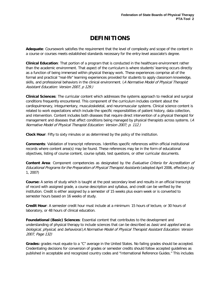## **DEFINITIONS**

**Adequate**: Coursework satisfies the requirement that the level of complexity and scope of the content in a course or courses meets established standards necessary for the entry-level associate's degree.

**Clinical Education**: That portion of a program that is conducted in the healthcare environment rather than the academic environment. That aspect of the curriculum is where students' learning occurs directly as a function of being immersed within physical therapy work. These experiences comprise all of the formal and practical "real-life" learning experiences provided for students to apply classroom knowledge, skills, and professional behaviors in the clinical environment. (A Normative Model of Physical Therapist Assistant Education: Version 2007, p 129.)

**Clinical Sciences**: The curricular content which addresses the systems approach to medical and surgical conditions frequently encountered. This component of the curriculum includes content about the cardiopulmonary, integumentary, musculoskeletal, and neuromuscular systems. Clinical science content is related to work expectations which include the specific responsibilities of patient history, data collection, and intervention. Content includes both diseases that require direct intervention of a physical therapist for management and diseases that affect conditions being managed by physical therapists across systems. (A Normative Model of Physical Therapist Education: Version 2007; p. 112.)

**Clock Hour**: Fifty to sixty minutes or as determined by the policy of the institution.

**Comments**: Validation of transcript references. Identifies specific references within official institutional records where content area(s) may be found. These references may be in the form of educational objectives, listing of course content, course syllabi, test questions, or other curricular documents.

**Content Area**: Component competencies as designated by the Evaluative Criteria for Accreditation of Educational Programs for the Preparation of Physical Therapist Assistants (adopted April 2006, effective July 1, 2007)

**Course:** A series of study which is taught at the post secondary level and results in an official transcript of record with assigned grade, a course description and syllabus, and credit can be verified by the institution. Credit is either assigned by a semester of 15 weeks plus exam week or is converted to semester hours based on 16 weeks of study.

**Credit Hour**: A semester credit hour must include at a minimum: 15 hours of lecture, or 30 hours of laboratory, or 48 hours of clinical education.

**Foundational (Basic) Sciences**: Essential content that contributes to the development and understanding of physical therapy to include sciences that can be described as *basic* and *applied* and as biological, physical, and behavioral.(A Normative Model of Physical Therapist Assistant Education: Version 2007, Page 132)

**Grades:** grades must equate to a "C" average in the United States. No failing grades should be accepted. Credentialing decisions for conversion of grades or semester credits should follow accepted guidelines as published in acceptable and recognized country codes and "International Reference Guides." This includes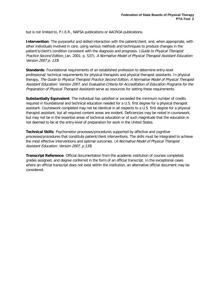but is not limited to, P.I.E.R., NAFSA publications or AACROA publications.

**Intervention**: The purposeful and skilled interaction with the patient/client, and, when appropriate, with other individuals involved in care, using various methods and techniques to produce changes in the patient's/client's condition consistent with the diagnosis and prognosis. (Guide to Physical Therapist Practice Second Edition, Jan. 2001; p. S37); A Normative Model of Physical Therapist Assistant Education: Version 2007 p. <sup>133</sup>)

**Standards**: Foundational requirements of an established profession to determine entry-level professional/ technical requirements for physical therapists and physical therapist assistants. In physical therapy, The Guide to Physical Therapist Practice Second Edition, A Normative Model of Physical Therapist Assistant Education: Version 2007, and Evaluative Criteria for Accreditation of Education Programs for the Preparation of Physical Therapist Assistants serve as resources for setting these requirements.

**Substantially Equivalent**: The individual has satisfied or exceeded the minimum number of credits required in foundational and technical education needed for a U.S. first degree for a physical therapist assistant. Coursework completed may not be identical in all respects to a U.S. first degree for a physical therapist assistant, but all required content areas are evident. Deficiencies may be noted in coursework, but may not be in the essential areas of technical education or of such magnitude that the education is not deemed to be at the entry-level of preparation for work in the United States.

**Technical Skills**: Psychomotor processes/procedures supported by affective and cognitive processes/procedures that constitute patient/client interventions. The skills must be integrated to achieve the most effective interventions and optimal outcomes. (A Normative Model of Physical Therapist Assistant Education: Version 2007, p.135)

**Transcript Reference**: Official documentation from the academic institution of courses completed, grades assigned, and degree conferred in the form of an official transcript. In the exceptional cases where an official transcript does not exist within the institution, an alternative official document may be considered.